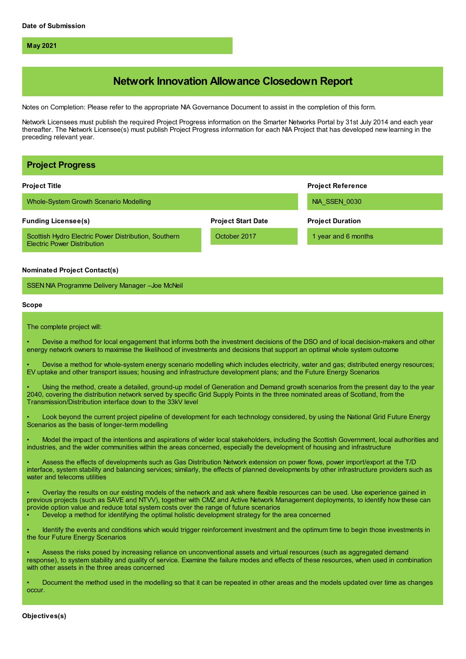**May 2021**

# **Network Innovation Allowance Closedown Report**

Notes on Completion: Please refer to the appropriate NIA Governance Document to assist in the completion of this form.

Network Licensees must publish the required Project Progress information on the Smarter Networks Portal by 31st July 2014 and each year thereafter. The Network Licensee(s) must publish Project Progress information for each NIA Project that has developed new learning in the preceding relevant year.

| <b>Project Progress</b>                                                                                                                                                                                                                                                                                                                                                                                                                                                                                                                                                                                                                                                                                                                                                                                                                                                                                                                                                                                                                                                                                                                                                                                                                                                                                                                                                                                                                                                                                                                                                                                                                             |                           |                          |
|-----------------------------------------------------------------------------------------------------------------------------------------------------------------------------------------------------------------------------------------------------------------------------------------------------------------------------------------------------------------------------------------------------------------------------------------------------------------------------------------------------------------------------------------------------------------------------------------------------------------------------------------------------------------------------------------------------------------------------------------------------------------------------------------------------------------------------------------------------------------------------------------------------------------------------------------------------------------------------------------------------------------------------------------------------------------------------------------------------------------------------------------------------------------------------------------------------------------------------------------------------------------------------------------------------------------------------------------------------------------------------------------------------------------------------------------------------------------------------------------------------------------------------------------------------------------------------------------------------------------------------------------------------|---------------------------|--------------------------|
| <b>Project Title</b>                                                                                                                                                                                                                                                                                                                                                                                                                                                                                                                                                                                                                                                                                                                                                                                                                                                                                                                                                                                                                                                                                                                                                                                                                                                                                                                                                                                                                                                                                                                                                                                                                                |                           | <b>Project Reference</b> |
| Whole-System Growth Scenario Modelling                                                                                                                                                                                                                                                                                                                                                                                                                                                                                                                                                                                                                                                                                                                                                                                                                                                                                                                                                                                                                                                                                                                                                                                                                                                                                                                                                                                                                                                                                                                                                                                                              |                           | NIA SSEN 0030            |
| <b>Funding Licensee(s)</b>                                                                                                                                                                                                                                                                                                                                                                                                                                                                                                                                                                                                                                                                                                                                                                                                                                                                                                                                                                                                                                                                                                                                                                                                                                                                                                                                                                                                                                                                                                                                                                                                                          | <b>Project Start Date</b> | <b>Project Duration</b>  |
| Scottish Hydro Electric Power Distribution, Southern<br><b>Electric Power Distribution</b>                                                                                                                                                                                                                                                                                                                                                                                                                                                                                                                                                                                                                                                                                                                                                                                                                                                                                                                                                                                                                                                                                                                                                                                                                                                                                                                                                                                                                                                                                                                                                          | October 2017              | 1 year and 6 months      |
| <b>Nominated Project Contact(s)</b>                                                                                                                                                                                                                                                                                                                                                                                                                                                                                                                                                                                                                                                                                                                                                                                                                                                                                                                                                                                                                                                                                                                                                                                                                                                                                                                                                                                                                                                                                                                                                                                                                 |                           |                          |
| SSEN NIA Programme Delivery Manager - Joe McNeil                                                                                                                                                                                                                                                                                                                                                                                                                                                                                                                                                                                                                                                                                                                                                                                                                                                                                                                                                                                                                                                                                                                                                                                                                                                                                                                                                                                                                                                                                                                                                                                                    |                           |                          |
| Scope                                                                                                                                                                                                                                                                                                                                                                                                                                                                                                                                                                                                                                                                                                                                                                                                                                                                                                                                                                                                                                                                                                                                                                                                                                                                                                                                                                                                                                                                                                                                                                                                                                               |                           |                          |
| The complete project will:                                                                                                                                                                                                                                                                                                                                                                                                                                                                                                                                                                                                                                                                                                                                                                                                                                                                                                                                                                                                                                                                                                                                                                                                                                                                                                                                                                                                                                                                                                                                                                                                                          |                           |                          |
| Devise a method for local engagement that informs both the investment decisions of the DSO and of local decision-makers and other<br>energy network owners to maximise the likelihood of investments and decisions that support an optimal whole system outcome<br>Devise a method for whole-system energy scenario modelling which includes electricity, water and gas; distributed energy resources;<br>EV uptake and other transport issues; housing and infrastructure development plans; and the Future Energy Scenarios<br>Using the method, create a detailed, ground-up model of Generation and Demand growth scenarios from the present day to the year<br>2040, covering the distribution network served by specific Grid Supply Points in the three nominated areas of Scotland, from the<br>Transmission/Distribution interface down to the 33kV level<br>Look beyond the current project pipeline of development for each technology considered, by using the National Grid Future Energy<br>Scenarios as the basis of longer-term modelling<br>Model the impact of the intentions and aspirations of wider local stakeholders, including the Scottish Government, local authorities and<br>industries, and the wider communities within the areas concerned, especially the development of housing and infrastructure<br>Assess the effects of developments such as Gas Distribution Network extension on power flows, power import/export at the T/D<br>interface, system stability and balancing services; similarly, the effects of planned developments by other infrastructure providers such as<br>water and telecoms utilities |                           |                          |
| Overlay the results on our existing models of the network and ask where flexible resources can be used. Use experience gained in<br>previous projects (such as SAVE and NTVV), together with CMZ and Active Network Management deployments, to identify how these can<br>provide option value and reduce total system costs over the range of future scenarios<br>Develop a method for identifying the optimal holistic development strategy for the area concerned<br>Identify the events and conditions which would trigger reinforcement investment and the optimum time to begin those investments in<br>the four Future Energy Scenarios<br>Assess the risks posed by increasing reliance on unconventional assets and virtual resources (such as aggregated demand<br>response), to system stability and quality of service. Examine the failure modes and effects of these resources, when used in combination<br>with other assets in the three areas concerned                                                                                                                                                                                                                                                                                                                                                                                                                                                                                                                                                                                                                                                                             |                           |                          |
| Document the method used in the modelling so that it can be repeated in other areas and the models updated over time as changes<br>occur.                                                                                                                                                                                                                                                                                                                                                                                                                                                                                                                                                                                                                                                                                                                                                                                                                                                                                                                                                                                                                                                                                                                                                                                                                                                                                                                                                                                                                                                                                                           |                           |                          |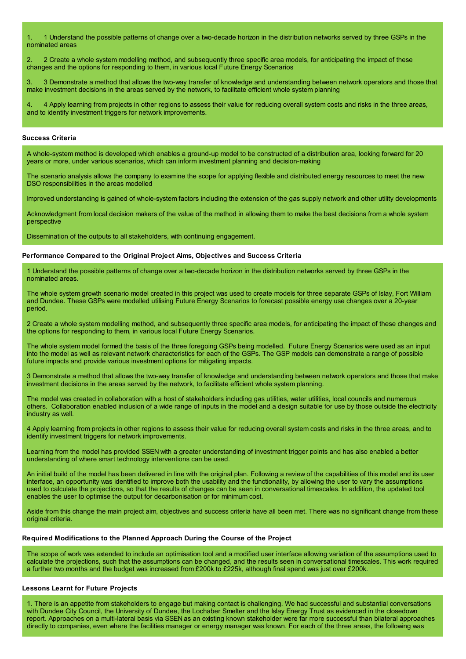1. 1 Understand the possible patterns of change over a two-decade horizon in the distribution networks served by three GSPs in the nominated areas

2. 2 Create a whole system modelling method, and subsequently three specific area models, for anticipating the impact of these changes and the options for responding to them, in various local Future Energy Scenarios

3. 3 Demonstrate a method that allows the two-way transfer of knowledge and understanding between network operators and those that make investment decisions in the areas served by the network, to facilitate efficient whole system planning

4. 4 Apply learning from projects in other regions to assess their value for reducing overall system costs and risks in the three areas, and to identify investment triggers for network improvements.

#### **Success Criteria**

A whole-system method is developed which enables a ground-up model to be constructed of a distribution area, looking forward for 20 years or more, under various scenarios, which can inform investment planning and decision-making

The scenario analysis allows the company to examine the scope for applying flexible and distributed energy resources to meet the new DSO responsibilities in the areas modelled

Improved understanding is gained of whole-system factors including the extension of the gas supply network and other utility developments

Acknowledgment from local decision makers of the value of the method in allowing them to make the best decisions from a whole system perspective

Dissemination of the outputs to all stakeholders, with continuing engagement.

### **Performance Compared to the Original Project Aims, Objectives and Success Criteria**

1 Understand the possible patterns of change over a two-decade horizon in the distribution networks served by three GSPs in the nominated areas.

The whole system growth scenario model created in this project was used to create models for three separate GSPs of Islay, Fort William and Dundee. These GSPs were modelled utilising Future Energy Scenarios to forecast possible energy use changes over a 20-year period.

2 Create a whole system modelling method, and subsequently three specific area models, for anticipating the impact of these changes and the options for responding to them, in various local Future Energy Scenarios.

The whole system model formed the basis of the three foregoing GSPs being modelled. Future Energy Scenarios were used as an input into the model as well as relevant network characteristics for each of the GSPs. The GSP models can demonstrate a range of possible future impacts and provide various investment options for mitigating impacts.

3 Demonstrate a method that allows the two-way transfer of knowledge and understanding between network operators and those that make investment decisions in the areas served by the network, to facilitate efficient whole system planning.

The model was created in collaboration with a host of stakeholders including gas utilities, water utilities, local councils and numerous others. Collaboration enabled inclusion of a wide range of inputs in the model and a design suitable for use by those outside the electricity industry as well.

4 Apply learning from projects in other regions to assess their value for reducing overall system costs and risks in the three areas, and to identify investment triggers for network improvements.

Learning from the model has provided SSEN with a greater understanding of investment trigger points and has also enabled a better understanding of where smart technology interventions can be used.

An initial build of the model has been delivered in line with the original plan. Following a review of the capabilities of this model and its user interface, an opportunity was identified to improve both the usability and the functionality, by allowing the user to vary the assumptions used to calculate the projections, so that the results of changes can be seen in conversational timescales. In addition, the updated tool enables the user to optimise the output for decarbonisation or for minimum cost.

Aside from this change the main project aim, objectives and success criteria have all been met. There was no significant change from these original criteria.

### **Required Modifications to the Planned Approach During the Course of the Project**

The scope of work was extended to include an optimisation tool and a modified user interface allowing variation of the assumptions used to calculate the projections, such that the assumptions can be changed, and the results seen in conversational timescales. This work required a further two months and the budget was increased from £200k to £225k, although final spend was just over £200k.

# **Lessons Learnt for Future Projects**

1. There is an appetite from stakeholders to engage but making contact is challenging. We had successful and substantial conversations with Dundee City Council, the University of Dundee, the Lochaber Smelter and the Islay Energy Trust as evidenced in the closedown report. Approaches on a multi-lateral basis via SSEN as an existing known stakeholder were far more successful than bilateral approaches directly to companies, even where the facilities manager or energy manager was known. For each of the three areas, the following was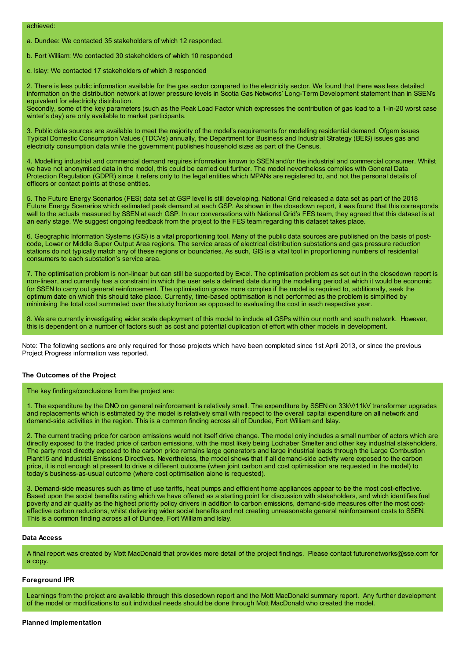a. Dundee: We contacted 35 stakeholders of which 12 responded.

b. Fort William: We contacted 30 stakeholders of which 10 responded

c. Islay: We contacted 17 stakeholders of which 3 responded

2. There is less public information available for the gas sector compared to the electricity sector. We found that there was less detailed information on the distribution network at lower pressure levels in Scotia Gas Networks' Long-Term Development statement than in SSEN's equivalent for electricity distribution.

Secondly, some of the key parameters (such as the Peak Load Factor which expresses the contribution of gas load to a 1-in-20 worst case winter's day) are only available to market participants.

3. Public data sources are available to meet the majority of the model's requirements for modelling residential demand. Ofgem issues Typical Domestic Consumption Values (TDCVs) annually, the Department for Business and Industrial Strategy (BEIS) issues gas and electricity consumption data while the government publishes household sizes as part of the Census.

4. Modelling industrial and commercial demand requires information known to SSEN and/or the industrial and commercial consumer. Whilst we have not anonymised data in the model, this could be carried out further. The model nevertheless complies with General Data Protection Regulation (GDPR) since it refers only to the legal entities which MPANs are registered to, and not the personal details of officers or contact points at those entities.

5. The Future Energy Scenarios (FES) data set at GSP level is still developing. National Grid released a data set as part of the 2018 Future Energy Scenarios which estimated peak demand at each GSP. As shown in the closedown report, it was found that this corresponds well to the actuals measured by SSEN at each GSP. In our conversations with National Grid's FES team, they agreed that this dataset is at an early stage. We suggest ongoing feedback from the project to the FES team regarding this dataset takes place.

6. Geographic Information Systems (GIS) is a vital proportioning tool. Many of the public data sources are published on the basis of postcode, Lower or Middle Super Output Area regions. The service areas of electrical distribution substations and gas pressure reduction stations do not typically match any of these regions or boundaries. As such, GIS is a vital tool in proportioning numbers of residential consumers to each substation's service area.

7. The optimisation problem is non-linear but can still be supported by Excel. The optimisation problem as set out in the closedown report is non-linear, and currently has a constraint in which the user sets a defined date during the modelling period at which it would be economic for SSEN to carry out general reinforcement. The optimisation grows more complex if the model is required to, additionally, seek the optimum date on which this should take place. Currently, time-based optimisation is not performed as the problem is simplified by minimising the total cost summated over the study horizon as opposed to evaluating the cost in each respective year.

8. We are currently investigating wider scale deployment of this model to include all GSPs within our north and south network. However, this is dependent on a number of factors such as cost and potential duplication of effort with other models in development.

Note: The following sections are only required for those projects which have been completed since 1st April 2013, or since the previous Project Progress information was reported.

### **The Outcomes of the Project**

The key findings/conclusions from the project are:

1. The expenditure by the DNO on general reinforcement is relatively small. The expenditure by SSEN on 33kV/11kV transformer upgrades and replacements which is estimated by the model is relatively small with respect to the overall capital expenditure on all network and demand-side activities in the region. This is a common finding across all of Dundee, Fort William and Islay.

2. The current trading price for carbon emissions would not itself drive change. The model only includes a small number of actors which are directly exposed to the traded price of carbon emissions, with the most likely being Lochaber Smelter and other key industrial stakeholders. The party most directly exposed to the carbon price remains large generators and large industrial loads through the Large Combustion Plant15 and Industrial Emissions Directives. Nevertheless, the model shows that if all demand-side activity were exposed to the carbon price, it is not enough at present to drive a different outcome (when joint carbon and cost optimisation are requested in the model) to today's business-as-usual outcome (where cost optimisation alone is requested).

3. Demand-side measures such as time of use tariffs, heat pumps and efficient home appliances appear to be the most cost-effective. Based upon the social benefits rating which we have offered as a starting point for discussion with stakeholders, and which identifies fuel poverty and air quality as the highest priority policy drivers in addition to carbon emissions, demand-side measures offer the most costeffective carbon reductions, whilst delivering wider social benefits and not creating unreasonable general reinforcement costs to SSEN. This is a common finding across all of Dundee, Fort William and Islay.

# **Data Access**

A final report was created by Mott MacDonald that provides more detail of the project findings. Please contact futurenetworks@sse.com for a copy.

#### **Foreground IPR**

Learnings from the project are available through this closedown report and the Mott MacDonald summary report. Any further development of the model or modifications to suit individual needs should be done through Mott MacDonald who created the model.

#### **Planned Implementation**